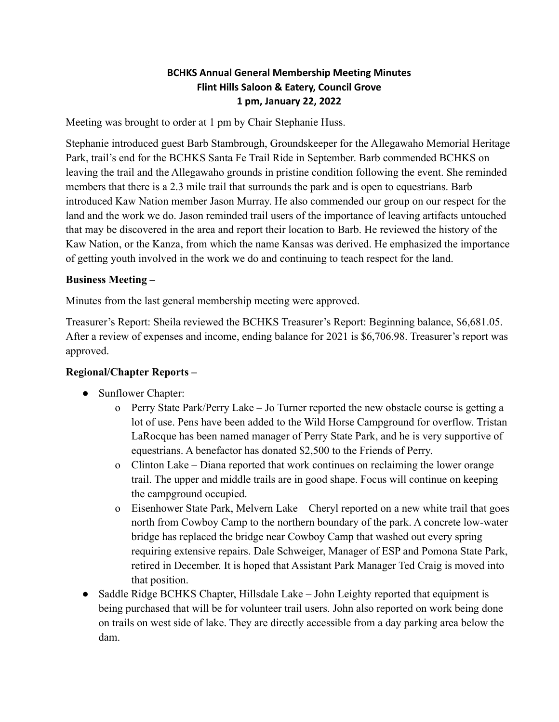### **BCHKS Annual General Membership Meeting Minutes Flint Hills Saloon & Eatery, Council Grove 1 pm, January 22, 2022**

Meeting was brought to order at 1 pm by Chair Stephanie Huss.

Stephanie introduced guest Barb Stambrough, Groundskeeper for the Allegawaho Memorial Heritage Park, trail's end for the BCHKS Santa Fe Trail Ride in September. Barb commended BCHKS on leaving the trail and the Allegawaho grounds in pristine condition following the event. She reminded members that there is a 2.3 mile trail that surrounds the park and is open to equestrians. Barb introduced Kaw Nation member Jason Murray. He also commended our group on our respect for the land and the work we do. Jason reminded trail users of the importance of leaving artifacts untouched that may be discovered in the area and report their location to Barb. He reviewed the history of the Kaw Nation, or the Kanza, from which the name Kansas was derived. He emphasized the importance of getting youth involved in the work we do and continuing to teach respect for the land.

### **Business Meeting –**

Minutes from the last general membership meeting were approved.

Treasurer's Report: Sheila reviewed the BCHKS Treasurer's Report: Beginning balance, \$6,681.05. After a review of expenses and income, ending balance for 2021 is \$6,706.98. Treasurer's report was approved.

# **Regional/Chapter Reports –**

- Sunflower Chapter:
	- o Perry State Park/Perry Lake Jo Turner reported the new obstacle course is getting a lot of use. Pens have been added to the Wild Horse Campground for overflow. Tristan LaRocque has been named manager of Perry State Park, and he is very supportive of equestrians. A benefactor has donated \$2,500 to the Friends of Perry.
	- o Clinton Lake Diana reported that work continues on reclaiming the lower orange trail. The upper and middle trails are in good shape. Focus will continue on keeping the campground occupied.
	- o Eisenhower State Park, Melvern Lake Cheryl reported on a new white trail that goes north from Cowboy Camp to the northern boundary of the park. A concrete low-water bridge has replaced the bridge near Cowboy Camp that washed out every spring requiring extensive repairs. Dale Schweiger, Manager of ESP and Pomona State Park, retired in December. It is hoped that Assistant Park Manager Ted Craig is moved into that position.
- Saddle Ridge BCHKS Chapter, Hillsdale Lake John Leighty reported that equipment is being purchased that will be for volunteer trail users. John also reported on work being done on trails on west side of lake. They are directly accessible from a day parking area below the dam.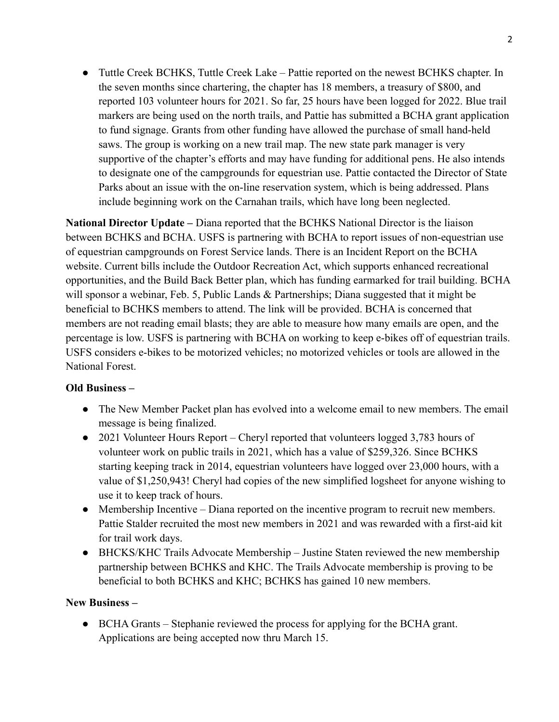• Tuttle Creek BCHKS, Tuttle Creek Lake – Pattie reported on the newest BCHKS chapter. In the seven months since chartering, the chapter has 18 members, a treasury of \$800, and reported 103 volunteer hours for 2021. So far, 25 hours have been logged for 2022. Blue trail markers are being used on the north trails, and Pattie has submitted a BCHA grant application to fund signage. Grants from other funding have allowed the purchase of small hand-held saws. The group is working on a new trail map. The new state park manager is very supportive of the chapter's efforts and may have funding for additional pens. He also intends to designate one of the campgrounds for equestrian use. Pattie contacted the Director of State Parks about an issue with the on-line reservation system, which is being addressed. Plans include beginning work on the Carnahan trails, which have long been neglected.

**National Director Update –** Diana reported that the BCHKS National Director is the liaison between BCHKS and BCHA. USFS is partnering with BCHA to report issues of non-equestrian use of equestrian campgrounds on Forest Service lands. There is an Incident Report on the BCHA website. Current bills include the Outdoor Recreation Act, which supports enhanced recreational opportunities, and the Build Back Better plan, which has funding earmarked for trail building. BCHA will sponsor a webinar, Feb. 5, Public Lands & Partnerships; Diana suggested that it might be beneficial to BCHKS members to attend. The link will be provided. BCHA is concerned that members are not reading email blasts; they are able to measure how many emails are open, and the percentage is low. USFS is partnering with BCHA on working to keep e-bikes off of equestrian trails. USFS considers e-bikes to be motorized vehicles; no motorized vehicles or tools are allowed in the National Forest.

# **Old Business –**

- The New Member Packet plan has evolved into a welcome email to new members. The email message is being finalized.
- 2021 Volunteer Hours Report Cheryl reported that volunteers logged 3,783 hours of volunteer work on public trails in 2021, which has a value of \$259,326. Since BCHKS starting keeping track in 2014, equestrian volunteers have logged over 23,000 hours, with a value of \$1,250,943! Cheryl had copies of the new simplified logsheet for anyone wishing to use it to keep track of hours.
- Membership Incentive Diana reported on the incentive program to recruit new members. Pattie Stalder recruited the most new members in 2021 and was rewarded with a first-aid kit for trail work days.
- BHCKS/KHC Trails Advocate Membership Justine Staten reviewed the new membership partnership between BCHKS and KHC. The Trails Advocate membership is proving to be beneficial to both BCHKS and KHC; BCHKS has gained 10 new members.

#### **New Business –**

**●** BCHA Grants – Stephanie reviewed the process for applying for the BCHA grant. Applications are being accepted now thru March 15.